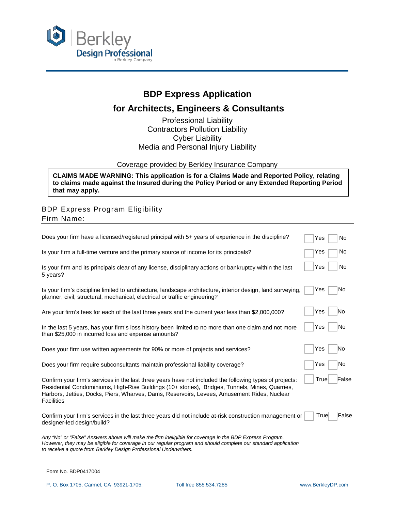

## **BDP Express Application**

## **for Architects, Engineers & Consultants**

Professional Liability Contractors Pollution Liability Cyber Liability Media and Personal Injury Liability

Coverage provided by Berkley Insurance Company

**CLAIMS MADE WARNING: This application is for a Claims Made and Reported Policy, relating to claims made against the Insured during the Policy Period or any Extended Reporting Period that may apply.**

## BDP Express Program Eligibility Firm Name:

| Does your firm have a licensed/registered principal with 5+ years of experience in the discipline?                                                                                                                                                                                                                      | No<br>Yes     |
|-------------------------------------------------------------------------------------------------------------------------------------------------------------------------------------------------------------------------------------------------------------------------------------------------------------------------|---------------|
| Is your firm a full-time venture and the primary source of income for its principals?                                                                                                                                                                                                                                   | No<br>Yes     |
| Is your firm and its principals clear of any license, disciplinary actions or bankruptcy within the last<br>5 years?                                                                                                                                                                                                    | Yes<br>No     |
| Is your firm's discipline limited to architecture, landscape architecture, interior design, land surveying,<br>planner, civil, structural, mechanical, electrical or traffic engineering?                                                                                                                               | No<br>Yes     |
| Are your firm's fees for each of the last three years and the current year less than \$2,000,000?                                                                                                                                                                                                                       | Yes<br>No     |
| In the last 5 years, has your firm's loss history been limited to no more than one claim and not more<br>than \$25,000 in incurred loss and expense amounts?                                                                                                                                                            | Yes<br>No     |
| Does your firm use written agreements for 90% or more of projects and services?                                                                                                                                                                                                                                         | Yes<br>lNo    |
| Does your firm require subconsultants maintain professional liability coverage?                                                                                                                                                                                                                                         | No<br>Yes     |
| Confirm your firm's services in the last three years have not included the following types of projects:<br>Residential Condominiums, High-Rise Buildings (10+ stories), Bridges, Tunnels, Mines, Quarries,<br>Harbors, Jetties, Docks, Piers, Wharves, Dams, Reservoirs, Levees, Amusement Rides, Nuclear<br>Facilities | True<br>False |
| Confirm your firm's services in the last three years did not include at-risk construction management or<br>designer-led design/build?                                                                                                                                                                                   | False<br>True |
| Any "No" or "False" Answers above will make the firm ineligible for coverage in the BDP Express Program.<br>However, they may be eligible for coverage in our regular program and should complete our standard application<br>to receive a quote from Berkley Design Professional Underwriters.                         |               |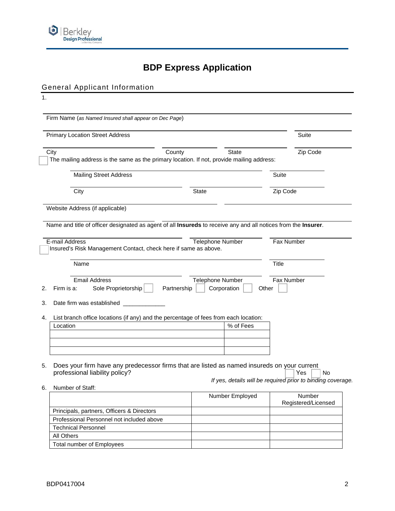

# **BDP Express Application**

## General Applicant Information

| 1.                                                                                                                            |                         |                 |                     |                                                                          |
|-------------------------------------------------------------------------------------------------------------------------------|-------------------------|-----------------|---------------------|--------------------------------------------------------------------------|
| Firm Name (as Named Insured shall appear on Dec Page)                                                                         |                         |                 |                     |                                                                          |
| <b>Primary Location Street Address</b>                                                                                        |                         |                 |                     | Suite                                                                    |
| City<br>County<br>The mailing address is the same as the primary location. If not, provide mailing address:                   |                         | <b>State</b>    |                     | Zip Code                                                                 |
| <b>Mailing Street Address</b>                                                                                                 |                         |                 | Suite               |                                                                          |
| City                                                                                                                          | <b>State</b>            |                 | Zip Code            |                                                                          |
| Website Address (if applicable)                                                                                               |                         |                 |                     |                                                                          |
| Name and title of officer designated as agent of all Insureds to receive any and all notices from the Insurer.                |                         |                 |                     |                                                                          |
| E-mail Address<br>Insured's Risk Management Contact, check here if same as above.                                             | Telephone Number        |                 | Fax Number          |                                                                          |
| Name                                                                                                                          |                         |                 | <b>Title</b>        |                                                                          |
| <b>Email Address</b><br>Sole Proprietorship<br>Firm is a:<br>Partnership<br>Date firm was established                         | <b>Telephone Number</b> | Corporation     | Fax Number<br>Other |                                                                          |
| List branch office locations (if any) and the percentage of fees from each location:                                          |                         |                 |                     |                                                                          |
| Location                                                                                                                      |                         | % of Fees       |                     |                                                                          |
| Does your firm have any predecessor firms that are listed as named insureds on your current<br>professional liability policy? |                         |                 |                     | Yes<br>No<br>If yes, details will be required prior to binding coverage. |
| Number of Staff:                                                                                                              |                         | Number Employed |                     | Number                                                                   |
| Principals, partners, Officers & Directors                                                                                    |                         |                 |                     | Registered/Licensed                                                      |
| Professional Personnel not included above                                                                                     |                         |                 |                     |                                                                          |
| <b>Technical Personnel</b>                                                                                                    |                         |                 |                     |                                                                          |
| All Others                                                                                                                    |                         |                 |                     |                                                                          |
| Total number of Employees                                                                                                     |                         |                 |                     |                                                                          |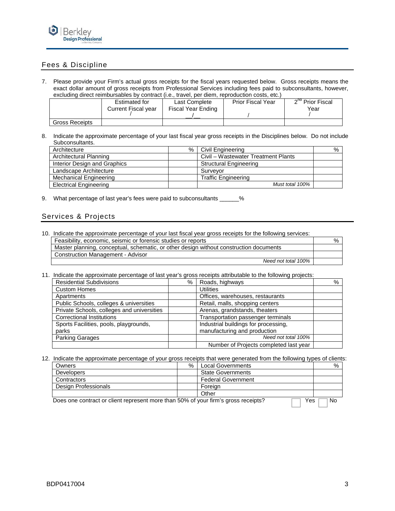

### Fees & Discipline

7. Please provide your Firm's actual gross receipts for the fiscal years requested below. Gross receipts means the exact dollar amount of gross receipts from Professional Services including fees paid to subconsultants, however, excluding direct reimbursables by contract (i.e., travel, per diem, reproduction costs, etc.)

|                       | <b>Estimated for</b> | Last Complete      | <b>Prior Fiscal Year</b> | 2 <sup>nd</sup> Prior Fiscal |
|-----------------------|----------------------|--------------------|--------------------------|------------------------------|
|                       | Current Fiscal year  | Fiscal Year Ending |                          | Year                         |
|                       |                      |                    |                          |                              |
| <b>Gross Receipts</b> |                      |                    |                          |                              |

8. Indicate the approximate percentage of your last fiscal year gross receipts in the Disciplines below. Do not include Subconsultants.

| Architecture                  | % | Civil Engineering                   | % |
|-------------------------------|---|-------------------------------------|---|
| Architectural Planning        |   | Civil – Wastewater Treatment Plants |   |
| Interior Design and Graphics  |   | <b>Structural Engineering</b>       |   |
| Landscape Architecture        |   | Survevor                            |   |
| Mechanical Engineering        |   | <b>Traffic Engineering</b>          |   |
| <b>Electrical Engineering</b> |   | Must total 100%                     |   |

9. What percentage of last year's fees were paid to subconsultants \_\_\_\_\_\_%

#### Services & Projects

| 10. Indicate the approximate percentage of your last fiscal year gross receipts for the following services: |   |
|-------------------------------------------------------------------------------------------------------------|---|
| Feasibility, economic, seismic or forensic studies or reports                                               | % |
| Master planning, conceptual, schematic, or other design without construction documents                      |   |
| <b>Construction Management - Advisor</b>                                                                    |   |
| Need not total 100%                                                                                         |   |

11. Indicate the approximate percentage of last year's gross receipts attributable to the following projects:

| <b>Residential Subdivisions</b>            | % | Roads, highways                        | % |
|--------------------------------------------|---|----------------------------------------|---|
| <b>Custom Homes</b>                        |   | Utilities                              |   |
| Apartments                                 |   | Offices, warehouses, restaurants       |   |
| Public Schools, colleges & universities    |   | Retail, malls, shopping centers        |   |
| Private Schools, colleges and universities |   | Arenas, grandstands, theaters          |   |
| <b>Correctional Institutions</b>           |   | Transportation passenger terminals     |   |
| Sports Facilities, pools, playgrounds,     |   | Industrial buildings for processing,   |   |
| parks                                      |   | manufacturing and production           |   |
| <b>Parking Garages</b>                     |   | Need not total 100%                    |   |
|                                            |   | Number of Projects completed last year |   |

12. Indicate the approximate percentage of your gross receipts that were generated from the following types of clients:

| Owners               | $\%$ | <b>Local Governments</b>  | $\%$ |
|----------------------|------|---------------------------|------|
| <b>Developers</b>    |      | <b>State Governments</b>  |      |
| Contractors          |      | <b>Federal Government</b> |      |
| Design Professionals |      | Foreian                   |      |
|                      |      | Other                     |      |

Does one contract or client represent more than 50% of your firm's gross receipts?  $\Box$  Yes  $\Box$  No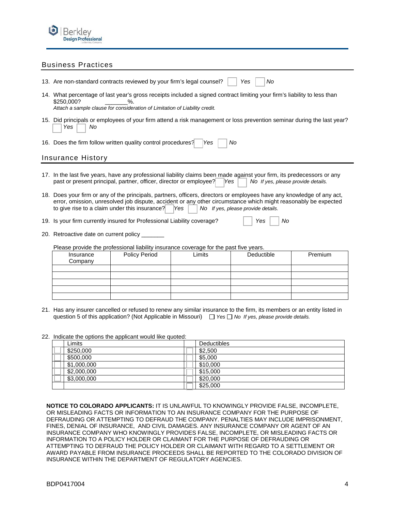

#### Business Practices

| 13. Are non-standard contracts reviewed by your firm's legal counsel?<br>Yes<br>No                                                                                                                                                                                                                                                      |                                                                                                                        |        |            |         |  |
|-----------------------------------------------------------------------------------------------------------------------------------------------------------------------------------------------------------------------------------------------------------------------------------------------------------------------------------------|------------------------------------------------------------------------------------------------------------------------|--------|------------|---------|--|
| 14. What percentage of last year's gross receipts included a signed contract limiting your firm's liability to less than<br>\$250,000?<br>$\%$ .<br>Attach a sample clause for consideration of Limitation of Liability credit.                                                                                                         |                                                                                                                        |        |            |         |  |
| Yes<br>No                                                                                                                                                                                                                                                                                                                               | 15. Did principals or employees of your firm attend a risk management or loss prevention seminar during the last year? |        |            |         |  |
|                                                                                                                                                                                                                                                                                                                                         | 16. Does the firm follow written quality control procedures?                                                           | Yes    | No         |         |  |
| Insurance History                                                                                                                                                                                                                                                                                                                       |                                                                                                                        |        |            |         |  |
| 17. In the last five years, have any professional liability claims been made against your firm, its predecessors or any<br>past or present principal, partner, officer, director or employee?<br>No If yes, please provide details.<br>lYes                                                                                             |                                                                                                                        |        |            |         |  |
| 18. Does your firm or any of the principals, partners, officers, directors or employees have any knowledge of any act,<br>error, omission, unresolved job dispute, accident or any other circumstance which might reasonably be expected<br>to give rise to a claim under this insurance?<br>lYes<br>No If yes, please provide details. |                                                                                                                        |        |            |         |  |
| 19. Is your firm currently insured for Professional Liability coverage?<br>No<br>Yes                                                                                                                                                                                                                                                    |                                                                                                                        |        |            |         |  |
| 20. Retroactive date on current policy _______                                                                                                                                                                                                                                                                                          |                                                                                                                        |        |            |         |  |
| Please provide the professional liability insurance coverage for the past five years.                                                                                                                                                                                                                                                   |                                                                                                                        |        |            |         |  |
| Insurance<br>Company                                                                                                                                                                                                                                                                                                                    | <b>Policy Period</b>                                                                                                   | Limits | Deductible | Premium |  |
|                                                                                                                                                                                                                                                                                                                                         |                                                                                                                        |        |            |         |  |
|                                                                                                                                                                                                                                                                                                                                         |                                                                                                                        |        |            |         |  |
|                                                                                                                                                                                                                                                                                                                                         |                                                                                                                        |        |            |         |  |
|                                                                                                                                                                                                                                                                                                                                         |                                                                                                                        |        |            |         |  |

21. Has any insurer cancelled or refused to renew any similar insurance to the firm, its members or an entity listed in question 5 of this application? (Not Applicable in Missouri)  $\Box$  Yes  $\Box$  No If yes, please provide details.

| 22. Indicate the options the applicant would like quoted: |             |  |                    |  |
|-----------------------------------------------------------|-------------|--|--------------------|--|
|                                                           | Limits      |  | <b>Deductibles</b> |  |
|                                                           | \$250,000   |  | \$2,500            |  |
|                                                           | \$500,000   |  | \$5,000            |  |
|                                                           | \$1,000,000 |  | \$10,000           |  |
|                                                           | \$2,000,000 |  | \$15,000           |  |
|                                                           | \$3,000,000 |  | \$20,000           |  |
|                                                           |             |  | \$25,000           |  |

**NOTICE TO COLORADO APPLICANTS:** IT IS UNLAWFUL TO KNOWINGLY PROVIDE FALSE, INCOMPLETE, OR MISLEADING FACTS OR INFORMATION TO AN INSURANCE COMPANY FOR THE PURPOSE OF DEFRAUDING OR ATTEMPTING TO DEFRAUD THE COMPANY. PENALTIES MAY INCLUDE IMPRISONMENT, FINES, DENIAL OF INSURANCE, AND CIVIL DAMAGES. ANY INSURANCE COMPANY OR AGENT OF AN INSURANCE COMPANY WHO KNOWINGLY PROVIDES FALSE, INCOMPLETE, OR MISLEADING FACTS OR INFORMATION TO A POLICY HOLDER OR CLAIMANT FOR THE PURPOSE OF DEFRAUDING OR ATTEMPTING TO DEFRAUD THE POLICY HOLDER OR CLAIMANT WITH REGARD TO A SETTLEMENT OR AWARD PAYABLE FROM INSURANCE PROCEEDS SHALL BE REPORTED TO THE COLORADO DIVISION OF INSURANCE WITHIN THE DEPARTMENT OF REGULATORY AGENCIES.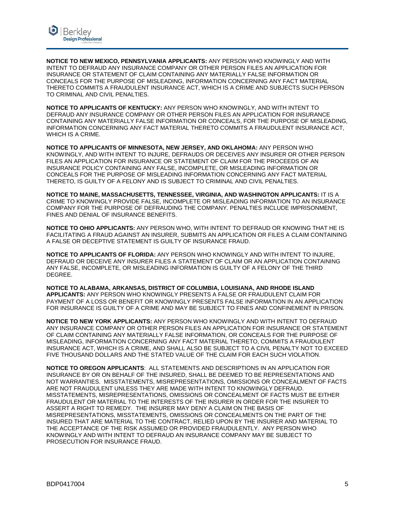

**NOTICE TO NEW MEXICO, PENNSYLVANIA APPLICANTS:** ANY PERSON WHO KNOWINGLY AND WITH INTENT TO DEFRAUD ANY INSURANCE COMPANY OR OTHER PERSON FILES AN APPLICATION FOR INSURANCE OR STATEMENT OF CLAIM CONTAINING ANY MATERIALLY FALSE INFORMATION OR CONCEALS FOR THE PURPOSE OF MISLEADING, INFORMATION CONCERNING ANY FACT MATERIAL THERETO COMMITS A FRAUDULENT INSURANCE ACT, WHICH IS A CRIME AND SUBJECTS SUCH PERSON TO CRIMINAL AND CIVIL PENALTIES.

**NOTICE TO APPLICANTS OF KENTUCKY:** ANY PERSON WHO KNOWINGLY, AND WITH INTENT TO DEFRAUD ANY INSURANCE COMPANY OR OTHER PERSON FILES AN APPLICATION FOR INSURANCE CONTAINING ANY MATERIALLY FALSE INFORMATION OR CONCEALS, FOR THE PURPOSE OF MISLEADING, INFORMATION CONCERNING ANY FACT MATERIAL THERETO COMMITS A FRAUDULENT INSURANCE ACT, WHICH IS A CRIME.

**NOTICE TO APPLICANTS OF MINNESOTA, NEW JERSEY, AND OKLAHOMA:** ANY PERSON WHO KNOWINGLY, AND WITH INTENT TO INJURE, DEFRAUDS OR DECEIVES ANY INSURER OR OTHER PERSON FILES AN APPLICATION FOR INSURANCE OR STATEMENT OF CLAIM FOR THE PROCEEDS OF AN INSURANCE POLICY CONTAINING ANY FALSE, INCOMPLETE, OR MISLEADING INFORMATION OR CONCEALS FOR THE PURPOSE OF MISLEADING INFORMATION CONCERNING ANY FACT MATERIAL THERETO, IS GUILTY OF A FELONY AND IS SUBJECT TO CRIMINAL AND CIVIL PENALTIES.

**NOTICE TO MAINE, MASSACHUSETTS, TENNESSEE, VIRGINIA, AND WASHINGTON APPLICANTS:** IT IS A CRIME TO KNOWINGLY PROVIDE FALSE, INCOMPLETE OR MISLEADING INFORMATION TO AN INSURANCE COMPANY FOR THE PURPOSE OF DEFRAUDING THE COMPANY. PENALTIES INCLUDE IMPRISONMENT, FINES AND DENIAL OF INSURANCE BENEFITS.

**NOTICE TO OHIO APPLICANTS:** ANY PERSON WHO, WITH INTENT TO DEFRAUD OR KNOWING THAT HE IS FACILITATING A FRAUD AGAINST AN INSURER, SUBMITS AN APPLICATION OR FILES A CLAIM CONTAINING A FALSE OR DECEPTIVE STATEMENT IS GUILTY OF INSURANCE FRAUD.

**NOTICE TO APPLICANTS OF FLORIDA:** ANY PERSON WHO KNOWINGLY AND WITH INTENT TO INJURE, DEFRAUD OR DECEIVE ANY INSURER FILES A STATEMENT OF CLAIM OR AN APPLICATION CONTAINING ANY FALSE, INCOMPLETE, OR MISLEADING INFORMATION IS GUILTY OF A FELONY OF THE THIRD DEGREE.

**NOTICE TO ALABAMA, ARKANSAS, DISTRICT OF COLUMBIA, LOUISIANA, AND RHODE ISLAND APPLICANTS:** ANY PERSON WHO KNOWINGLY PRESENTS A FALSE OR FRAUDULENT CLAIM FOR PAYMENT OF A LOSS OR BENEFIT OR KNOWINGLY PRESENTS FALSE INFORMATION IN AN APPLICATION FOR INSURANCE IS GUILTY OF A CRIME AND MAY BE SUBJECT TO FINES AND CONFINEMENT IN PRISON.

**NOTICE TO NEW YORK APPLICANTS:** ANY PERSON WHO KNOWINGLY AND WITH INTENT TO DEFRAUD ANY INSURANCE COMPANY OR OTHER PERSON FILES AN APPLICATION FOR INSURANCE OR STATEMENT OF CLAIM CONTAINING ANY MATERIALLY FALSE INFORMATION, OR CONCEALS FOR THE PURPOSE OF MISLEADING, INFORMATION CONCERNING ANY FACT MATERIAL THERETO, COMMITS A FRAUDULENT INSURANCE ACT, WHICH IS A CRIME, AND SHALL ALSO BE SUBJECT TO A CIVIL PENALTY NOT TO EXCEED FIVE THOUSAND DOLLARS AND THE STATED VALUE OF THE CLAIM FOR EACH SUCH VIOLATION.

**NOTICE TO OREGON APPLICANTS**: ALL STATEMENTS AND DESCRIPTIONS IN AN APPLICATION FOR INSURANCE BY OR ON BEHALF OF THE INSURED, SHALL BE DEEMED TO BE REPRESENTATIONS AND NOT WARRANTIES. MISSTATEMENTS, MISREPRESENTATIONS, OMISSIONS OR CONCEALMENT OF FACTS ARE NOT FRAUDULENT UNLESS THEY ARE MADE WITH INTENT TO KNOWINGLY DEFRAUD. MISSTATEMENTS, MISREPRESENTATIONS, OMISSIONS OR CONCEALMENT OF FACTS MUST BE EITHER FRAUDULENT OR MATERIAL TO THE INTERESTS OF THE INSURER IN ORDER FOR THE INSURER TO ASSERT A RIGHT TO REMEDY. THE INSURER MAY DENY A CLAIM ON THE BASIS OF MISREPRESENTATIONS, MISSTATEMENTS, OMISSIONS OR CONCEALMENTS ON THE PART OF THE INSURED THAT ARE MATERIAL TO THE CONTRACT, RELIED UPON BY THE INSURER AND MATERIAL TO THE ACCEPTANCE OF THE RISK ASSUMED OR PROVIDED FRAUDULENTLY. ANY PERSON WHO KNOWINGLY AND WITH INTENT TO DEFRAUD AN INSURANCE COMPANY MAY BE SUBJECT TO PROSECUTION FOR INSURANCE FRAUD.